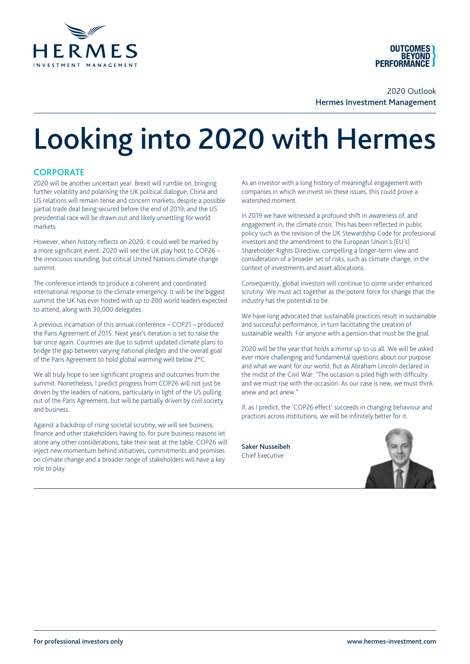



2020 Outlook Hermes Investment Management

# Looking into 2020 with Hermes

## **CORPORATE**

2020 will be another uncertain year. Brexit will rumble on, bringing further volatility and polarising the UK political dialogue; China and US relations will remain tense and concern markets, despite a possible partial trade deal being secured before the end of 2019; and the US presidential race will be drawn out and likely unsettling for world markets.

However, when history reflects on 2020, it could well be marked by a more significant event. 2020 will see the UK play host to COP26 – the innocuous sounding, but critical United Nations climate change summit.

The conference intends to produce a coherent and coordinated international response to the climate emergency. It will be the biggest summit the UK has ever hosted with up to 200 world leaders expected to attend, along with 30,000 delegates.

A previous incarnation of this annual conference – COP21 – produced the Paris Agreement of 2015. Next year's iteration is set to raise the bar once again. Countries are due to submit updated climate plans to bridge the gap between varying national pledges and the overall goal of the Paris Agreement to hold global warming well below 2°C.

We all truly hope to see significant progress and outcomes from the summit. Nonetheless, I predict progress from COP26 will not just be driven by the leaders of nations, particularly in light of the US pulling out of the Paris Agreement, but will be partially driven by civil society and business.

Against a backdrop of rising societal scrutiny, we will see business, finance and other stakeholders having to, for pure business reasons let alone any other considerations, take their seat at the table. COP26 will inject new momentum behind initiatives, commitments and promises on climate change and a broader range of stakeholders will have a key role to play.

As an investor with a long history of meaningful engagement with companies in which we invest on these issues, this could prove a watershed moment.

In 2019 we have witnessed a profound shift in awareness of, and engagement in, the climate crisis. This has been reflected in public policy such as the revision of the UK Stewardship Code for professional investors and the amendment to the European Union's (EU's) Shareholder Rights Directive, compelling a longer-term view and consideration of a broader set of risks, such as climate change, in the context of investments and asset allocations.

Consequently, global investors will continue to come under enhanced scrutiny. We must act together as the potent force for change that the industry has the potential to be.

We have long advocated that sustainable practices result in sustainable and successful performance, in turn facilitating the creation of sustainable wealth. For anyone with a pension that must be the goal.

2020 will be the year that holds a mirror up to us all. We will be asked ever more challenging and fundamental questions about our purpose and what we want for our world. But as Abraham Lincoln declared in the midst of the Civil War: "The occasion is piled high with difficulty and we must rise with the occasion. As our case is new, we must think anew and act anew."

If, as I predict, the 'COP26 effect' succeeds in changing behaviour and practices across institutions, we will be infinitely better for it.

Saker Nusseibeh Chief Executive

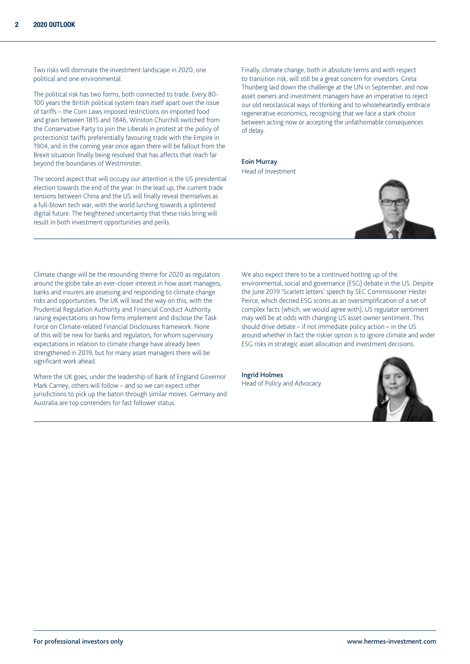Two risks will dominate the investment landscape in 2020, one political and one environmental.

The political risk has two forms, both connected to trade. Every 80- 100 years the British political system tears itself apart over the issue of tariffs – the Corn Laws imposed restrictions on imported food and grain between 1815 and 1846, Winston Churchill switched from the Conservative Party to join the Liberals in protest at the policy of protectionist tariffs preferentially favouring trade with the Empire in 1904, and in the coming year once again there will be fallout from the Brexit situation finally being resolved that has affects that reach far beyond the boundaries of Westminster.

The second aspect that will occupy our attention is the US presidential election towards the end of the year. In the lead up, the current trade tensions between China and the US will finally reveal themselves as a full-blown tech war, with the world lurching towards a splintered digital future. The heightened uncertainty that these risks bring will result in both investment opportunities and perils.

Finally, climate change, both in absolute terms and with respect to transition risk, will still be a great concern for investors. Greta Thunberg laid down the challenge at the UN in September, and now asset owners and investment managers have an imperative to reject our old neoclassical ways of thinking and to wholeheartedly embrace regenerative economics, recognising that we face a stark choice between acting now or accepting the unfathomable consequences of delay.

Eoin Murray Head of Investment



Climate change will be the resounding theme for 2020 as regulators around the globe take an ever-closer interest in how asset managers, banks and insurers are assessing and responding to climate change risks and opportunities. The UK will lead the way on this, with the Prudential Regulation Authority and Financial Conduct Authority raising expectations on how firms implement and disclose the Task Force on Climate-related Financial Disclosures framework. None of this will be new for banks and regulators, for whom supervisory expectations in relation to climate change have already been strengthened in 2019, but for many asset managers there will be significant work ahead.

Where the UK goes, under the leadership of Bank of England Governor Mark Carney, others will follow – and so we can expect other jurisdictions to pick up the baton through similar moves. Germany and Australia are top contenders for fast follower status.

We also expect there to be a continued hotting up of the environmental, social and governance (ESG) debate in the US. Despite the June 2019 'Scarlett letters' speech by SEC Commissioner Hester Peirce, which decried ESG scores as an oversimplification of a set of complex facts (which, we would agree with), US regulator sentiment may well be at odds with changing US asset owner sentiment. This should drive debate – if not immediate policy action – in the US around whether in fact the riskier option is to ignore climate and wider ESG risks in strategic asset allocation and investment decisions.

Ingrid Holmes Head of Policy and Advocacy

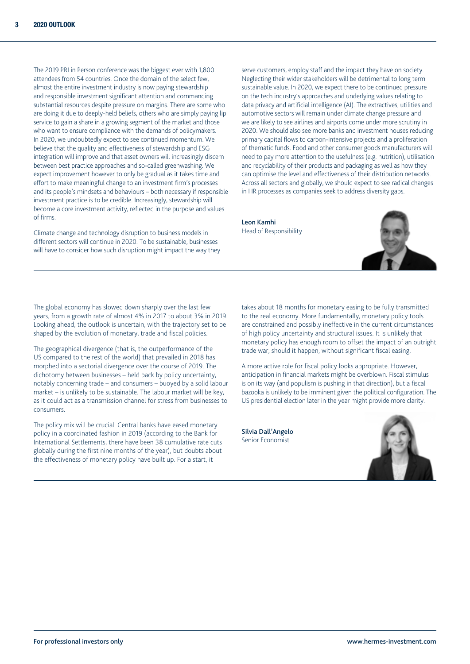The 2019 PRI in Person conference was the biggest ever with 1,800 attendees from 54 countries. Once the domain of the select few, almost the entire investment industry is now paying stewardship and responsible investment significant attention and commanding substantial resources despite pressure on margins. There are some who are doing it due to deeply-held beliefs, others who are simply paying lip service to gain a share in a growing segment of the market and those who want to ensure compliance with the demands of policymakers. In 2020, we undoubtedly expect to see continued momentum. We believe that the quality and effectiveness of stewardship and ESG integration will improve and that asset owners will increasingly discern between best practice approaches and so-called greenwashing. We expect improvement however to only be gradual as it takes time and effort to make meaningful change to an investment firm's processes and its people's mindsets and behaviours – both necessary if responsible investment practice is to be credible. Increasingly, stewardship will become a core investment activity, reflected in the purpose and values of firms.

Climate change and technology disruption to business models in different sectors will continue in 2020. To be sustainable, businesses will have to consider how such disruption might impact the way they

serve customers, employ staff and the impact they have on society. Neglecting their wider stakeholders will be detrimental to long term sustainable value. In 2020, we expect there to be continued pressure on the tech industry's approaches and underlying values relating to data privacy and artificial intelligence (AI). The extractives, utilities and automotive sectors will remain under climate change pressure and we are likely to see airlines and airports come under more scrutiny in 2020. We should also see more banks and investment houses reducing primary capital flows to carbon-intensive projects and a proliferation of thematic funds. Food and other consumer goods manufacturers will need to pay more attention to the usefulness (e.g. nutrition), utilisation and recyclability of their products and packaging as well as how they can optimise the level and effectiveness of their distribution networks. Across all sectors and globally, we should expect to see radical changes in HR processes as companies seek to address diversity gaps.

Leon Kamhi Head of Responsibility



The global economy has slowed down sharply over the last few years, from a growth rate of almost 4% in 2017 to about 3% in 2019. Looking ahead, the outlook is uncertain, with the trajectory set to be shaped by the evolution of monetary, trade and fiscal policies.

The geographical divergence (that is, the outperformance of the US compared to the rest of the world) that prevailed in 2018 has morphed into a sectorial divergence over the course of 2019. The dichotomy between businesses – held back by policy uncertainty, notably concerning trade – and consumers – buoyed by a solid labour market – is unlikely to be sustainable. The labour market will be key, as it could act as a transmission channel for stress from businesses to consumers.

The policy mix will be crucial. Central banks have eased monetary policy in a coordinated fashion in 2019 (according to the Bank for International Settlements, there have been 38 cumulative rate cuts globally during the first nine months of the year), but doubts about the effectiveness of monetary policy have built up. For a start, it

takes about 18 months for monetary easing to be fully transmitted to the real economy. More fundamentally, monetary policy tools are constrained and possibly ineffective in the current circumstances of high policy uncertainty and structural issues. It is unlikely that monetary policy has enough room to offset the impact of an outright trade war, should it happen, without significant fiscal easing.

A more active role for fiscal policy looks appropriate. However, anticipation in financial markets might be overblown. Fiscal stimulus is on its way (and populism is pushing in that direction), but a fiscal bazooka is unlikely to be imminent given the political configuration. The US presidential election later in the year might provide more clarity.

Silvia Dall'Angelo Senior Economist

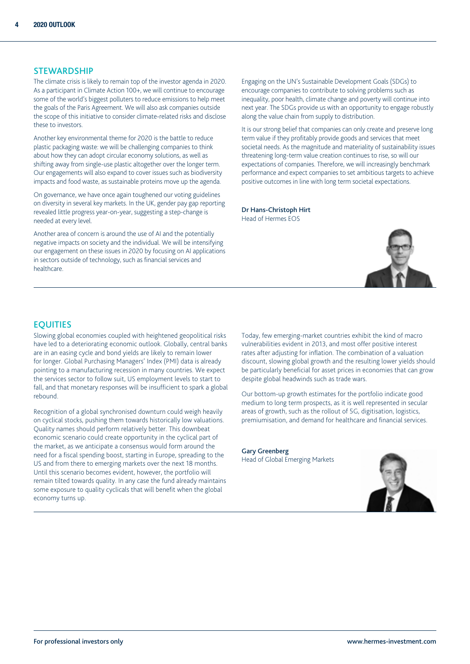#### **STEWARDSHIP**

The climate crisis is likely to remain top of the investor agenda in 2020. As a participant in Climate Action 100+, we will continue to encourage some of the world's biggest polluters to reduce emissions to help meet the goals of the Paris Agreement. We will also ask companies outside the scope of this initiative to consider climate-related risks and disclose these to investors.

Another key environmental theme for 2020 is the battle to reduce plastic packaging waste: we will be challenging companies to think about how they can adopt circular economy solutions, as well as shifting away from single-use plastic altogether over the longer term. Our engagements will also expand to cover issues such as biodiversity impacts and food waste, as sustainable proteins move up the agenda.

On governance, we have once again toughened our voting guidelines on diversity in several key markets. In the UK, gender pay gap reporting revealed little progress year-on-year, suggesting a step-change is needed at every level.

Another area of concern is around the use of AI and the potentially negative impacts on society and the individual. We will be intensifying our engagement on these issues in 2020 by focusing on AI applications in sectors outside of technology, such as financial services and healthcare.

Engaging on the UN's Sustainable Development Goals (SDGs) to encourage companies to contribute to solving problems such as inequality, poor health, climate change and poverty will continue into next year. The SDGs provide us with an opportunity to engage robustly along the value chain from supply to distribution.

It is our strong belief that companies can only create and preserve long term value if they profitably provide goods and services that meet societal needs. As the magnitude and materiality of sustainability issues threatening long-term value creation continues to rise, so will our expectations of companies. Therefore, we will increasingly benchmark performance and expect companies to set ambitious targets to achieve positive outcomes in line with long term societal expectations.

Dr Hans-Christoph Hirt Head of Hermes EOS



## **EQUITIES**

Slowing global economies coupled with heightened geopolitical risks have led to a deteriorating economic outlook. Globally, central banks are in an easing cycle and bond yields are likely to remain lower for longer. Global Purchasing Managers' Index (PMI) data is already pointing to a manufacturing recession in many countries. We expect the services sector to follow suit, US employment levels to start to fall, and that monetary responses will be insufficient to spark a global rebound.

Recognition of a global synchronised downturn could weigh heavily on cyclical stocks, pushing them towards historically low valuations. Quality names should perform relatively better. This downbeat economic scenario could create opportunity in the cyclical part of the market, as we anticipate a consensus would form around the need for a fiscal spending boost, starting in Europe, spreading to the US and from there to emerging markets over the next 18 months. Until this scenario becomes evident, however, the portfolio will remain tilted towards quality. In any case the fund already maintains some exposure to quality cyclicals that will benefit when the global economy turns up.

Today, few emerging-market countries exhibit the kind of macro vulnerabilities evident in 2013, and most offer positive interest rates after adjusting for inflation. The combination of a valuation discount, slowing global growth and the resulting lower yields should be particularly beneficial for asset prices in economies that can grow despite global headwinds such as trade wars.

Our bottom-up growth estimates for the portfolio indicate good medium to long term prospects, as it is well represented in secular areas of growth, such as the rollout of 5G, digitisation, logistics, premiumisation, and demand for healthcare and financial services.

Gary Greenberg Head of Global Emerging Markets

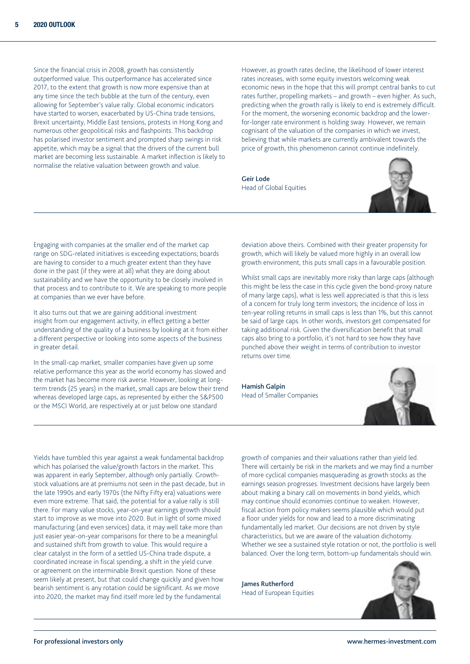Since the financial crisis in 2008, growth has consistently outperformed value. This outperformance has accelerated since 2017, to the extent that growth is now more expensive than at any time since the tech bubble at the turn of the century, even allowing for September's value rally. Global economic indicators have started to worsen, exacerbated by US-China trade tensions, Brexit uncertainty, Middle East tensions, protests in Hong Kong and numerous other geopolitical risks and flashpoints. This backdrop has polarised investor sentiment and prompted sharp swings in risk appetite, which may be a signal that the drivers of the current bull market are becoming less sustainable. A market inflection is likely to normalise the relative valuation between growth and value.

However, as growth rates decline, the likelihood of lower interest rates increases, with some equity investors welcoming weak economic news in the hope that this will prompt central banks to cut rates further, propelling markets – and growth – even higher. As such, predicting when the growth rally is likely to end is extremely difficult. For the moment, the worsening economic backdrop and the lowerfor-longer rate environment is holding sway. However, we remain cognisant of the valuation of the companies in which we invest, believing that while markets are currently ambivalent towards the price of growth, this phenomenon cannot continue indefinitely.

Geir Lode Head of Global Equities



Engaging with companies at the smaller end of the market cap range on SDG-related initiatives is exceeding expectations; boards are having to consider to a much greater extent than they have done in the past (if they were at all) what they are doing about sustainability and we have the opportunity to be closely involved in that process and to contribute to it. We are speaking to more people at companies than we ever have before.

It also turns out that we are gaining additional investment insight from our engagement activity, in effect getting a better understanding of the quality of a business by looking at it from either a different perspective or looking into some aspects of the business in greater detail.

In the small-cap market, smaller companies have given up some relative performance this year as the world economy has slowed and the market has become more risk averse. However, looking at longterm trends (25 years) in the market, small caps are below their trend whereas developed large caps, as represented by either the S&P500 or the MSCI World, are respectively at or just below one standard

deviation above theirs. Combined with their greater propensity for growth, which will likely be valued more highly in an overall low growth environment, this puts small caps in a favourable position.

Whilst small caps are inevitably more risky than large caps (although this might be less the case in this cycle given the bond-proxy nature of many large caps), what is less well appreciated is that this is less of a concern for truly long term investors; the incidence of loss in ten-year rolling returns in small caps is less than 1%, but this cannot be said of large caps. In other words, investors get compensated for taking additional risk. Given the diversification benefit that small caps also bring to a portfolio, it's not hard to see how they have punched above their weight in terms of contribution to investor returns over time.

Hamish Galpin Head of Smaller Companies



Yields have tumbled this year against a weak fundamental backdrop which has polarised the value/growth factors in the market. This was apparent in early September, although only partially. Growthstock valuations are at premiums not seen in the past decade, but in the late 1990s and early 1970s (the Nifty Fifty era) valuations were even more extreme. That said, the potential for a value rally is still there. For many value stocks, year-on-year earnings growth should start to improve as we move into 2020. But in light of some mixed manufacturing (and even services) data, it may well take more than just easier year-on-year comparisons for there to be a meaningful and sustained shift from growth to value. This would require a clear catalyst in the form of a settled US-China trade dispute, a coordinated increase in fiscal spending, a shift in the yield curve or agreement on the interminable Brexit question. None of these seem likely at present, but that could change quickly and given how bearish sentiment is any rotation could be significant. As we move into 2020, the market may find itself more led by the fundamental

growth of companies and their valuations rather than yield led. There will certainly be risk in the markets and we may find a number of more cyclical companies masquerading as growth stocks as the earnings season progresses. Investment decisions have largely been about making a binary call on movements in bond yields, which may continue should economies continue to weaken. However, fiscal action from policy makers seems plausible which would put a floor under yields for now and lead to a more discriminating fundamentally led market. Our decisions are not driven by style characteristics, but we are aware of the valuation dichotomy. Whether we see a sustained style rotation or not, the portfolio is well balanced. Over the long term, bottom-up fundamentals should win.

James Rutherford Head of European Equities

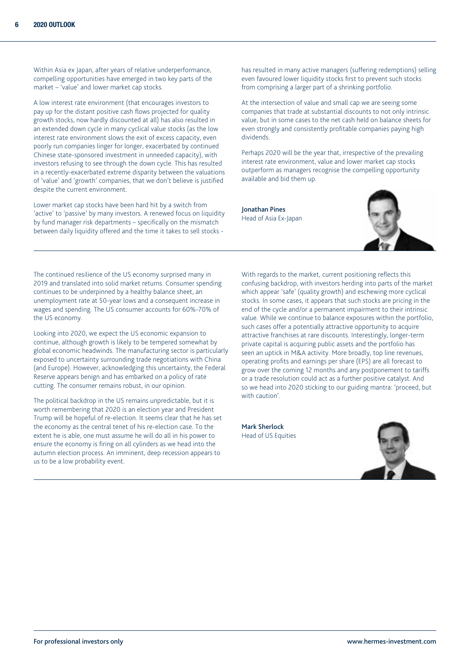Within Asia ex Japan, after years of relative underperformance, compelling opportunities have emerged in two key parts of the market – 'value' and lower market cap stocks.

A low interest rate environment (that encourages investors to pay up for the distant positive cash flows projected for quality growth stocks, now hardly discounted at all) has also resulted in an extended down cycle in many cyclical value stocks (as the low interest rate environment slows the exit of excess capacity, even poorly run companies linger for longer, exacerbated by continued Chinese state-sponsored investment in unneeded capacity), with investors refusing to see through the down cycle. This has resulted in a recently-exacerbated extreme disparity between the valuations of 'value' and 'growth' companies, that we don't believe is justified despite the current environment.

Lower market cap stocks have been hard hit by a switch from 'active' to 'passive' by many investors. A renewed focus on liquidity by fund manager risk departments – specifically on the mismatch between daily liquidity offered and the time it takes to sell stocks -

has resulted in many active managers (suffering redemptions) selling even favoured lower liquidity stocks first to prevent such stocks from comprising a larger part of a shrinking portfolio.

At the intersection of value and small cap we are seeing some companies that trade at substantial discounts to not only intrinsic value, but in some cases to the net cash held on balance sheets for even strongly and consistently profitable companies paying high dividends.

Perhaps 2020 will be the year that, irrespective of the prevailing interest rate environment, value and lower market cap stocks outperform as managers recognise the compelling opportunity available and bid them up.

Jonathan Pines Head of Asia Ex-Japan



The continued resilience of the US economy surprised many in 2019 and translated into solid market returns. Consumer spending continues to be underpinned by a healthy balance sheet, an unemployment rate at 50-year lows and a consequent increase in wages and spending. The US consumer accounts for 60%-70% of the US economy.

Looking into 2020, we expect the US economic expansion to continue, although growth is likely to be tempered somewhat by global economic headwinds. The manufacturing sector is particularly exposed to uncertainty surrounding trade negotiations with China (and Europe). However, acknowledging this uncertainty, the Federal Reserve appears benign and has embarked on a policy of rate cutting. The consumer remains robust, in our opinion.

The political backdrop in the US remains unpredictable, but it is worth remembering that 2020 is an election year and President Trump will be hopeful of re-election. It seems clear that he has set the economy as the central tenet of his re-election case. To the extent he is able, one must assume he will do all in his power to ensure the economy is firing on all cylinders as we head into the autumn election process. An imminent, deep recession appears to us to be a low probability event.

With regards to the market, current positioning reflects this confusing backdrop, with investors herding into parts of the market which appear 'safe' (quality growth) and eschewing more cyclical stocks. In some cases, it appears that such stocks are pricing in the end of the cycle and/or a permanent impairment to their intrinsic value. While we continue to balance exposures within the portfolio, such cases offer a potentially attractive opportunity to acquire attractive franchises at rare discounts. Interestingly, longer-term private capital is acquiring public assets and the portfolio has seen an uptick in M&A activity. More broadly, top line revenues, operating profits and earnings per share (EPS) are all forecast to grow over the coming 12 months and any postponement to tariffs or a trade resolution could act as a further positive catalyst. And so we head into 2020 sticking to our guiding mantra: 'proceed, but with caution'.

Mark Sherlock Head of US Equities

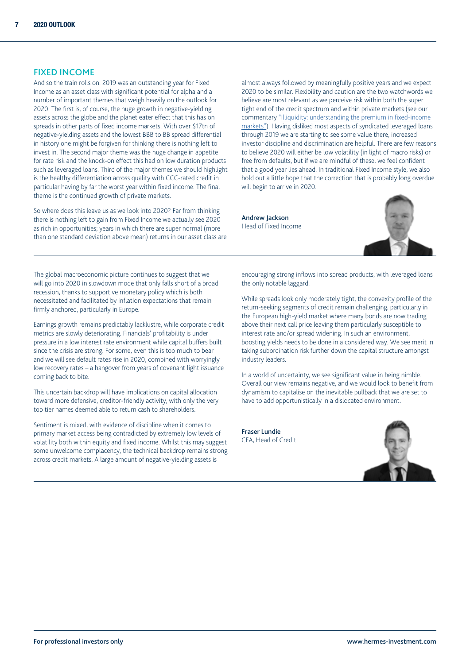### FIXED INCOME

And so the train rolls on. 2019 was an outstanding year for Fixed Income as an asset class with significant potential for alpha and a number of important themes that weigh heavily on the outlook for 2020. The first is, of course, the huge growth in negative-yielding assets across the globe and the planet eater effect that this has on spreads in other parts of fixed income markets. With over \$17tn of negative-yielding assets and the lowest BBB to BB spread differential in history one might be forgiven for thinking there is nothing left to invest in. The second major theme was the huge change in appetite for rate risk and the knock-on effect this had on low duration products such as leveraged loans. Third of the major themes we should highlight is the healthy differentiation across quality with CCC-rated credit in particular having by far the worst year within fixed income. The final theme is the continued growth of private markets.

So where does this leave us as we look into 2020? Far from thinking there is nothing left to gain from Fixed Income we actually see 2020 as rich in opportunities; years in which there are super normal (more than one standard deviation above mean) returns in our asset class are almost always followed by meaningfully positive years and we expect 2020 to be similar. Flexibility and caution are the two watchwords we believe are most relevant as we perceive risk within both the super tight end of the credit spectrum and within private markets (see our commentary ["Illiquidity: understanding the premium in fixed-income](https://www.hermes-investment.com/ukw/insight/fixed-income/illiquidity-premium-fixed-income-markets/)  [markets"](https://www.hermes-investment.com/ukw/insight/fixed-income/illiquidity-premium-fixed-income-markets/)). Having disliked most aspects of syndicated leveraged loans through 2019 we are starting to see some value there, increased investor discipline and discrimination are helpful. There are few reasons to believe 2020 will either be low volatility (in light of macro risks) or free from defaults, but if we are mindful of these, we feel confident that a good year lies ahead. In traditional Fixed Income style, we also hold out a little hope that the correction that is probably long overdue will begin to arrive in 2020.

Andrew Jackson Head of Fixed Income



The global macroeconomic picture continues to suggest that we will go into 2020 in slowdown mode that only falls short of a broad recession, thanks to supportive monetary policy which is both necessitated and facilitated by inflation expectations that remain firmly anchored, particularly in Europe.

Earnings growth remains predictably lacklustre, while corporate credit metrics are slowly deteriorating. Financials' profitability is under pressure in a low interest rate environment while capital buffers built since the crisis are strong. For some, even this is too much to bear and we will see default rates rise in 2020, combined with worryingly low recovery rates – a hangover from years of covenant light issuance coming back to bite.

This uncertain backdrop will have implications on capital allocation toward more defensive, creditor-friendly activity, with only the very top tier names deemed able to return cash to shareholders.

Sentiment is mixed, with evidence of discipline when it comes to primary market access being contradicted by extremely low levels of volatility both within equity and fixed income. Whilst this may suggest some unwelcome complacency, the technical backdrop remains strong across credit markets. A large amount of negative-yielding assets is

encouraging strong inflows into spread products, with leveraged loans the only notable laggard.

While spreads look only moderately tight, the convexity profile of the return-seeking segments of credit remain challenging, particularly in the European high-yield market where many bonds are now trading above their next call price leaving them particularly susceptible to interest rate and/or spread widening. In such an environment, boosting yields needs to be done in a considered way. We see merit in taking subordination risk further down the capital structure amongst industry leaders.

In a world of uncertainty, we see significant value in being nimble. Overall our view remains negative, and we would look to benefit from dynamism to capitalise on the inevitable pullback that we are set to have to add opportunistically in a dislocated environment.

Fraser Lundie CFA, Head of Credit

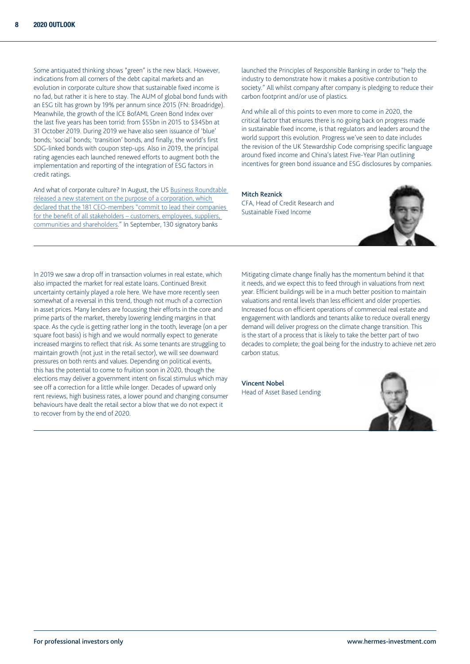Some antiquated thinking shows "green" is the new black. However, indications from all corners of the debt capital markets and an evolution in corporate culture show that sustainable fixed income is no fad, but rather it is here to stay. The AUM of global bond funds with an ESG tilt has grown by 19% per annum since 2015 (FN: Broadridge). Meanwhile, the growth of the ICE BofAML Green Bond Index over the last five years has been torrid: from \$55bn in 2015 to \$345bn at 31 October 2019. During 2019 we have also seen issuance of 'blue' bonds; 'social' bonds; 'transition' bonds, and finally, the world's first SDG-linked bonds with coupon step-ups. Also in 2019, the principal rating agencies each launched renewed efforts to augment both the implementation and reporting of the integration of ESG factors in credit ratings.

And what of corporate culture? In August, the US [Business Roundtable](https://www.businessroundtable.org/business-roundtable-redefines-the-purpose-of-a-corporation-to-promote-an-economy-that-serves-all-americans)  [released a new statement on the purpose of a corporation, which](https://www.businessroundtable.org/business-roundtable-redefines-the-purpose-of-a-corporation-to-promote-an-economy-that-serves-all-americans)  [declared that the 181 CEO-members "commit to lead their companies](https://www.businessroundtable.org/business-roundtable-redefines-the-purpose-of-a-corporation-to-promote-an-economy-that-serves-all-americans)  for the benefit of all stakeholders – customers, employees, suppliers, [communities and shareholders](https://www.businessroundtable.org/business-roundtable-redefines-the-purpose-of-a-corporation-to-promote-an-economy-that-serves-all-americans)." In September, 130 signatory banks

launched the Principles of Responsible Banking in order to "help the industry to demonstrate how it makes a positive contribution to society." All whilst company after company is pledging to reduce their carbon footprint and/or use of plastics.

And while all of this points to even more to come in 2020, the critical factor that ensures there is no going back on progress made in sustainable fixed income, is that regulators and leaders around the world support this evolution. Progress we've seen to date includes the revision of the UK Stewardship Code comprising specific language around fixed income and China's latest Five-Year Plan outlining incentives for green bond issuance and ESG disclosures by companies.

Mitch Reznick CFA, Head of Credit Research and Sustainable Fixed Income



In 2019 we saw a drop off in transaction volumes in real estate, which also impacted the market for real estate loans. Continued Brexit uncertainty certainly played a role here. We have more recently seen somewhat of a reversal in this trend, though not much of a correction in asset prices. Many lenders are focussing their efforts in the core and prime parts of the market, thereby lowering lending margins in that space. As the cycle is getting rather long in the tooth, leverage (on a per square foot basis) is high and we would normally expect to generate increased margins to reflect that risk. As some tenants are struggling to maintain growth (not just in the retail sector), we will see downward pressures on both rents and values. Depending on political events, this has the potential to come to fruition soon in 2020, though the elections may deliver a government intent on fiscal stimulus which may see off a correction for a little while longer. Decades of upward only rent reviews, high business rates, a lower pound and changing consumer behaviours have dealt the retail sector a blow that we do not expect it to recover from by the end of 2020.

Mitigating climate change finally has the momentum behind it that it needs, and we expect this to feed through in valuations from next year. Efficient buildings will be in a much better position to maintain valuations and rental levels than less efficient and older properties. Increased focus on efficient operations of commercial real estate and engagement with landlords and tenants alike to reduce overall energy demand will deliver progress on the climate change transition. This is the start of a process that is likely to take the better part of two decades to complete; the goal being for the industry to achieve net zero carbon status.

Vincent Nobel Head of Asset Based Lending

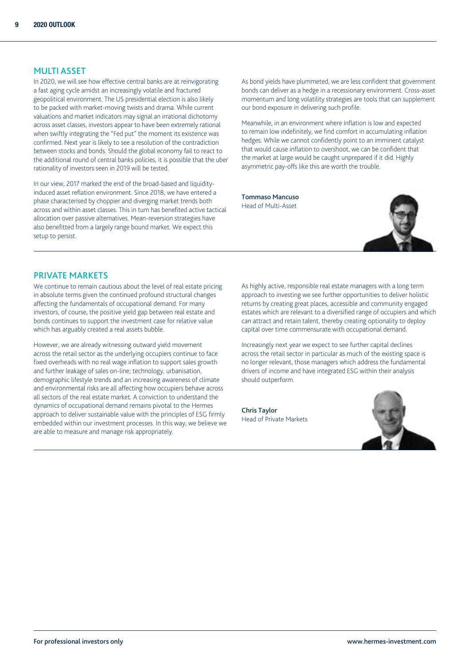#### MULTI ASSET

In 2020, we will see how effective central banks are at reinvigorating a fast aging cycle amidst an increasingly volatile and fractured geopolitical environment. The US presidential election is also likely to be packed with market-moving twists and drama. While current valuations and market indicators may signal an irrational dichotomy across asset classes, investors appear to have been extremely rational when swiftly integrating the "Fed put" the moment its existence was confirmed. Next year is likely to see a resolution of the contradiction between stocks and bonds. Should the global economy fail to react to the additional round of central banks policies, it is possible that the uber rationality of investors seen in 2019 will be tested.

In our view, 2017 marked the end of the broad-based and liquidityinduced asset reflation environment. Since 2018, we have entered a phase characterised by choppier and diverging market trends both across and within asset classes. This in turn has benefited active tactical allocation over passive alternatives. Mean-reversion strategies have also benefitted from a largely range bound market. We expect this setup to persist.

As bond yields have plummeted, we are less confident that government bonds can deliver as a hedge in a recessionary environment. Cross-asset momentum and long volatility strategies are tools that can supplement our bond exposure in delivering such profile.

Meanwhile, in an environment where inflation is low and expected to remain low indefinitely, we find comfort in accumulating inflation hedges. While we cannot confidently point to an imminent catalyst that would cause inflation to overshoot, we can be confident that the market at large would be caught unprepared if it did. Highly asymmetric pay-offs like this are worth the trouble.

Tommaso Mancuso Head of Multi-Asset



## PRIVATE MARKETS

We continue to remain cautious about the level of real estate pricing in absolute terms given the continued profound structural changes affecting the fundamentals of occupational demand. For many investors, of course, the positive yield gap between real estate and bonds continues to support the investment case for relative value which has arguably created a real assets bubble.

However, we are already witnessing outward yield movement across the retail sector as the underlying occupiers continue to face fixed overheads with no real wage inflation to support sales growth and further leakage of sales on-line; technology, urbanisation, demographic lifestyle trends and an increasing awareness of climate and environmental risks are all affecting how occupiers behave across all sectors of the real estate market. A conviction to understand the dynamics of occupational demand remains pivotal to the Hermes approach to deliver sustainable value with the principles of ESG firmly embedded within our investment processes. In this way, we believe we are able to measure and manage risk appropriately.

As highly active, responsible real estate managers with a long term approach to investing we see further opportunities to deliver holistic returns by creating great places, accessible and community engaged estates which are relevant to a diversified range of occupiers and which can attract and retain talent, thereby creating optionality to deploy capital over time commensurate with occupational demand.

Increasingly next year we expect to see further capital declines across the retail sector in particular as much of the existing space is no longer relevant, those managers which address the fundamental drivers of income and have integrated ESG within their analysis should outperform.

Chris Taylor Head of Private Markets

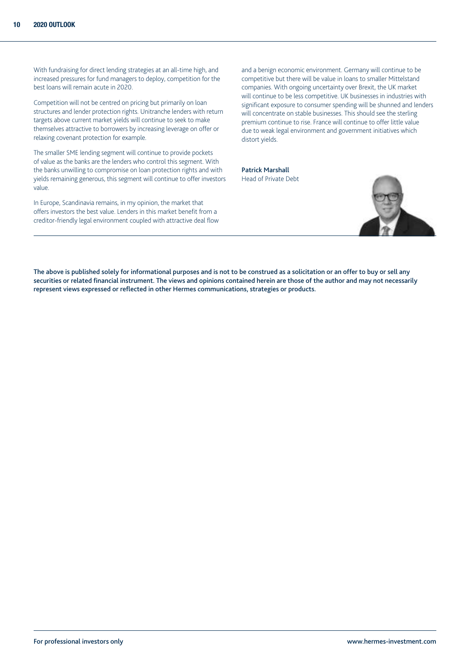With fundraising for direct lending strategies at an all-time high, and increased pressures for fund managers to deploy, competition for the best loans will remain acute in 2020.

Competition will not be centred on pricing but primarily on loan structures and lender protection rights. Unitranche lenders with return targets above current market yields will continue to seek to make themselves attractive to borrowers by increasing leverage on offer or relaxing covenant protection for example.

The smaller SME lending segment will continue to provide pockets of value as the banks are the lenders who control this segment. With the banks unwilling to compromise on loan protection rights and with yields remaining generous, this segment will continue to offer investors value.

In Europe, Scandinavia remains, in my opinion, the market that offers investors the best value. Lenders in this market benefit from a creditor-friendly legal environment coupled with attractive deal flow

and a benign economic environment. Germany will continue to be competitive but there will be value in loans to smaller Mittelstand companies. With ongoing uncertainty over Brexit, the UK market will continue to be less competitive. UK businesses in industries with significant exposure to consumer spending will be shunned and lenders will concentrate on stable businesses. This should see the sterling premium continue to rise. France will continue to offer little value due to weak legal environment and government initiatives which distort yields.

Patrick Marshall Head of Private Debt



The above is published solely for informational purposes and is not to be construed as a solicitation or an offer to buy or sell any securities or related financial instrument. The views and opinions contained herein are those of the author and may not necessarily represent views expressed or reflected in other Hermes communications, strategies or products.